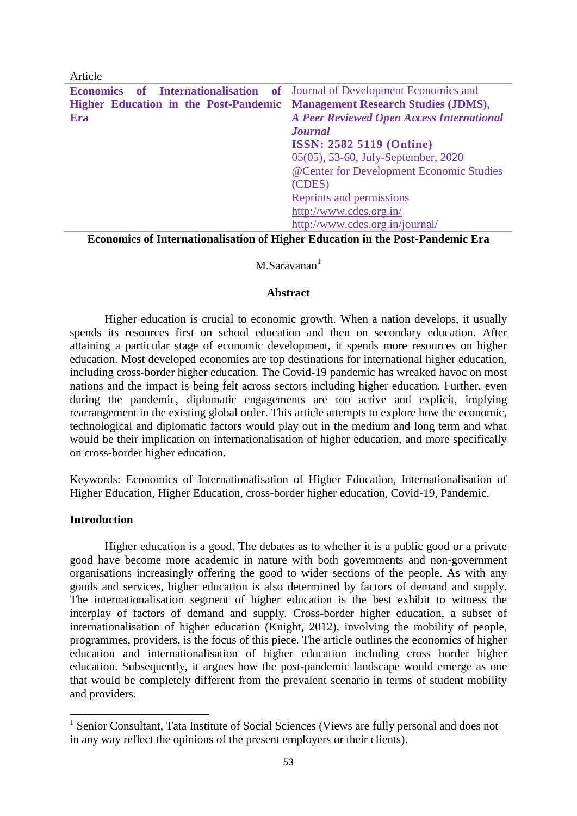| Article                                                                          |                                                  |  |
|----------------------------------------------------------------------------------|--------------------------------------------------|--|
| <b>Economics of Internationalisation of Journal of Development Economics and</b> |                                                  |  |
| Higher Education in the Post-Pandemic Management Research Studies (JDMS),        |                                                  |  |
| Era                                                                              | <b>A Peer Reviewed Open Access International</b> |  |
|                                                                                  | <b>Journal</b>                                   |  |
|                                                                                  | <b>ISSN: 2582 5119 (Online)</b>                  |  |
| 05(05), 53-60, July-September, 2020                                              |                                                  |  |
|                                                                                  | @Center for Development Economic Studies         |  |
|                                                                                  | (CDES)                                           |  |
|                                                                                  | Reprints and permissions                         |  |
|                                                                                  | http://www.cdes.org.in/                          |  |
|                                                                                  | http://www.cdes.org.in/journal/                  |  |

**Economics of Internationalisation of Higher Education in the Post-Pandemic Era**

### $M.Saravan<sup>1</sup>$

#### **Abstract**

Higher education is crucial to economic growth. When a nation develops, it usually spends its resources first on school education and then on secondary education. After attaining a particular stage of economic development, it spends more resources on higher education. Most developed economies are top destinations for international higher education, including cross-border higher education. The Covid-19 pandemic has wreaked havoc on most nations and the impact is being felt across sectors including higher education. Further, even during the pandemic, diplomatic engagements are too active and explicit, implying rearrangement in the existing global order. This article attempts to explore how the economic, technological and diplomatic factors would play out in the medium and long term and what would be their implication on internationalisation of higher education, and more specifically on cross-border higher education.

Keywords: Economics of Internationalisation of Higher Education, Internationalisation of Higher Education, Higher Education, cross-border higher education, Covid-19, Pandemic.

### **Introduction**

Higher education is a good. The debates as to whether it is a public good or a private good have become more academic in nature with both governments and non-government organisations increasingly offering the good to wider sections of the people. As with any goods and services, higher education is also determined by factors of demand and supply. The internationalisation segment of higher education is the best exhibit to witness the interplay of factors of demand and supply. Cross-border higher education, a subset of internationalisation of higher education (Knight, 2012), involving the mobility of people, programmes, providers, is the focus of this piece. The article outlines the economics of higher education and internationalisation of higher education including cross border higher education. Subsequently, it argues how the post-pandemic landscape would emerge as one that would be completely different from the prevalent scenario in terms of student mobility and providers.

<sup>&</sup>lt;sup>1</sup> Senior Consultant, Tata Institute of Social Sciences (Views are fully personal and does not in any way reflect the opinions of the present employers or their clients).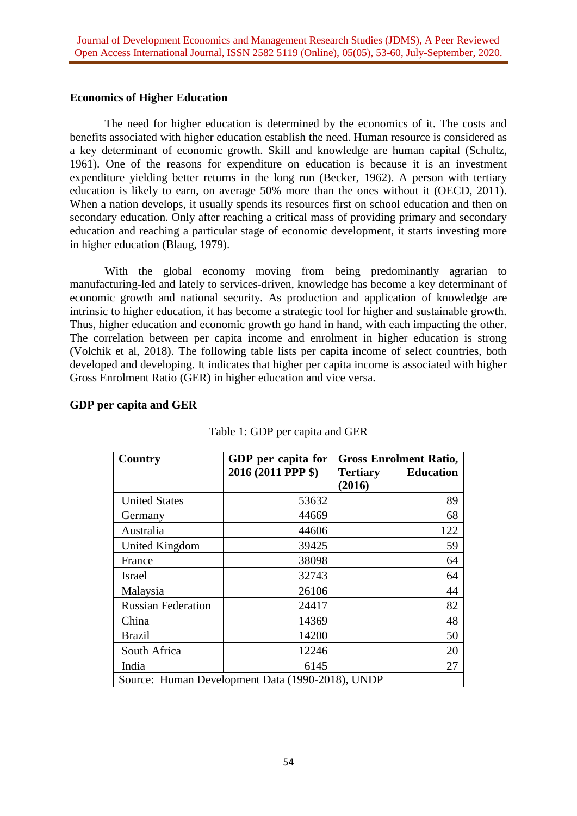### **Economics of Higher Education**

The need for higher education is determined by the economics of it. The costs and benefits associated with higher education establish the need. Human resource is considered as a key determinant of economic growth. Skill and knowledge are human capital (Schultz, 1961). One of the reasons for expenditure on education is because it is an investment expenditure yielding better returns in the long run (Becker, 1962). A person with tertiary education is likely to earn, on average 50% more than the ones without it (OECD, 2011). When a nation develops, it usually spends its resources first on school education and then on secondary education. Only after reaching a critical mass of providing primary and secondary education and reaching a particular stage of economic development, it starts investing more in higher education (Blaug, 1979).

With the global economy moving from being predominantly agrarian to manufacturing-led and lately to services-driven, knowledge has become a key determinant of economic growth and national security. As production and application of knowledge are intrinsic to higher education, it has become a strategic tool for higher and sustainable growth. Thus, higher education and economic growth go hand in hand, with each impacting the other. The correlation between per capita income and enrolment in higher education is strong (Volchik et al, 2018). The following table lists per capita income of select countries, both developed and developing. It indicates that higher per capita income is associated with higher Gross Enrolment Ratio (GER) in higher education and vice versa.

| 2016 (2011 PPP \$)<br>53632<br>44669<br>44606<br>39425 | <b>Education</b><br><b>Tertiary</b><br>(2016)<br>89<br>68<br>122 |
|--------------------------------------------------------|------------------------------------------------------------------|
|                                                        |                                                                  |
|                                                        |                                                                  |
|                                                        |                                                                  |
|                                                        |                                                                  |
|                                                        |                                                                  |
|                                                        | 59                                                               |
| 38098                                                  | 64                                                               |
| 32743                                                  | 64                                                               |
| 26106                                                  | 44                                                               |
| 24417                                                  | 82                                                               |
| 14369                                                  | 48                                                               |
| 14200                                                  | 50                                                               |
| 12246                                                  | 20                                                               |
|                                                        | 27                                                               |
|                                                        | 6145<br>Source: Human Development Data (1990-2018), UNDP         |

## **GDP per capita and GER**

| Table 1: GDP per capita and GER |  |  |
|---------------------------------|--|--|
|---------------------------------|--|--|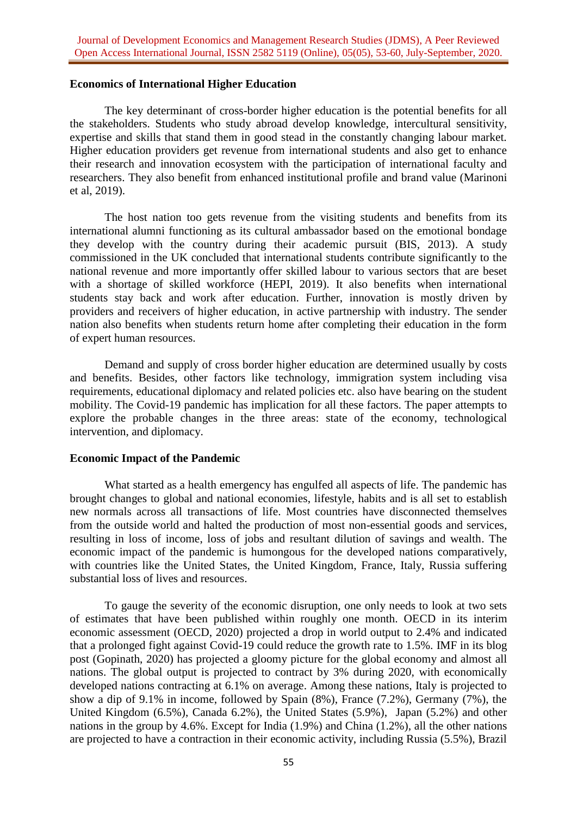### **Economics of International Higher Education**

The key determinant of cross-border higher education is the potential benefits for all the stakeholders. Students who study abroad develop knowledge, intercultural sensitivity, expertise and skills that stand them in good stead in the constantly changing labour market. Higher education providers get revenue from international students and also get to enhance their research and innovation ecosystem with the participation of international faculty and researchers. They also benefit from enhanced institutional profile and brand value (Marinoni et al, 2019).

The host nation too gets revenue from the visiting students and benefits from its international alumni functioning as its cultural ambassador based on the emotional bondage they develop with the country during their academic pursuit (BIS, 2013). A study commissioned in the UK concluded that international students contribute significantly to the national revenue and more importantly offer skilled labour to various sectors that are beset with a shortage of skilled workforce (HEPI, 2019). It also benefits when international students stay back and work after education. Further, innovation is mostly driven by providers and receivers of higher education, in active partnership with industry. The sender nation also benefits when students return home after completing their education in the form of expert human resources.

Demand and supply of cross border higher education are determined usually by costs and benefits. Besides, other factors like technology, immigration system including visa requirements, educational diplomacy and related policies etc. also have bearing on the student mobility. The Covid-19 pandemic has implication for all these factors. The paper attempts to explore the probable changes in the three areas: state of the economy, technological intervention, and diplomacy.

### **Economic Impact of the Pandemic**

What started as a health emergency has engulfed all aspects of life. The pandemic has brought changes to global and national economies, lifestyle, habits and is all set to establish new normals across all transactions of life. Most countries have disconnected themselves from the outside world and halted the production of most non-essential goods and services, resulting in loss of income, loss of jobs and resultant dilution of savings and wealth. The economic impact of the pandemic is humongous for the developed nations comparatively, with countries like the United States, the United Kingdom, France, Italy, Russia suffering substantial loss of lives and resources.

To gauge the severity of the economic disruption, one only needs to look at two sets of estimates that have been published within roughly one month. OECD in its interim economic assessment (OECD, 2020) projected a drop in world output to 2.4% and indicated that a prolonged fight against Covid-19 could reduce the growth rate to 1.5%. IMF in its blog post (Gopinath, 2020) has projected a gloomy picture for the global economy and almost all nations. The global output is projected to contract by 3% during 2020, with economically developed nations contracting at 6.1% on average. Among these nations, Italy is projected to show a dip of 9.1% in income, followed by Spain (8%), France (7.2%), Germany (7%), the United Kingdom (6.5%), Canada 6.2%), the United States (5.9%), Japan (5.2%) and other nations in the group by 4.6%. Except for India (1.9%) and China (1.2%), all the other nations are projected to have a contraction in their economic activity, including Russia (5.5%), Brazil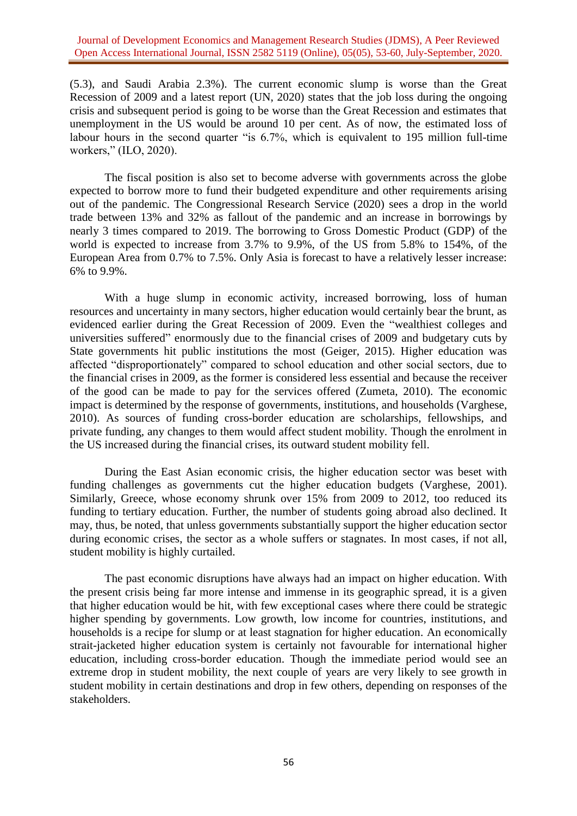(5.3), and Saudi Arabia 2.3%). The current economic slump is worse than the Great Recession of 2009 and a latest report (UN, 2020) states that the job loss during the ongoing crisis and subsequent period is going to be worse than the Great Recession and estimates that unemployment in the US would be around 10 per cent. As of now, the estimated loss of labour hours in the second quarter "is 6.7%, which is equivalent to 195 million full-time workers," (ILO, 2020).

The fiscal position is also set to become adverse with governments across the globe expected to borrow more to fund their budgeted expenditure and other requirements arising out of the pandemic. The Congressional Research Service (2020) sees a drop in the world trade between 13% and 32% as fallout of the pandemic and an increase in borrowings by nearly 3 times compared to 2019. The borrowing to Gross Domestic Product (GDP) of the world is expected to increase from 3.7% to 9.9%, of the US from 5.8% to 154%, of the European Area from 0.7% to 7.5%. Only Asia is forecast to have a relatively lesser increase: 6% to 9.9%.

With a huge slump in economic activity, increased borrowing, loss of human resources and uncertainty in many sectors, higher education would certainly bear the brunt, as evidenced earlier during the Great Recession of 2009. Even the "wealthiest colleges and universities suffered" enormously due to the financial crises of 2009 and budgetary cuts by State governments hit public institutions the most (Geiger, 2015). Higher education was affected "disproportionately" compared to school education and other social sectors, due to the financial crises in 2009, as the former is considered less essential and because the receiver of the good can be made to pay for the services offered (Zumeta, 2010). The economic impact is determined by the response of governments, institutions, and households (Varghese, 2010). As sources of funding cross-border education are scholarships, fellowships, and private funding, any changes to them would affect student mobility. Though the enrolment in the US increased during the financial crises, its outward student mobility fell.

During the East Asian economic crisis, the higher education sector was beset with funding challenges as governments cut the higher education budgets (Varghese, 2001). Similarly, Greece, whose economy shrunk over 15% from 2009 to 2012, too reduced its funding to tertiary education. Further, the number of students going abroad also declined. It may, thus, be noted, that unless governments substantially support the higher education sector during economic crises, the sector as a whole suffers or stagnates. In most cases, if not all, student mobility is highly curtailed.

The past economic disruptions have always had an impact on higher education. With the present crisis being far more intense and immense in its geographic spread, it is a given that higher education would be hit, with few exceptional cases where there could be strategic higher spending by governments. Low growth, low income for countries, institutions, and households is a recipe for slump or at least stagnation for higher education. An economically strait-jacketed higher education system is certainly not favourable for international higher education, including cross-border education. Though the immediate period would see an extreme drop in student mobility, the next couple of years are very likely to see growth in student mobility in certain destinations and drop in few others, depending on responses of the stakeholders.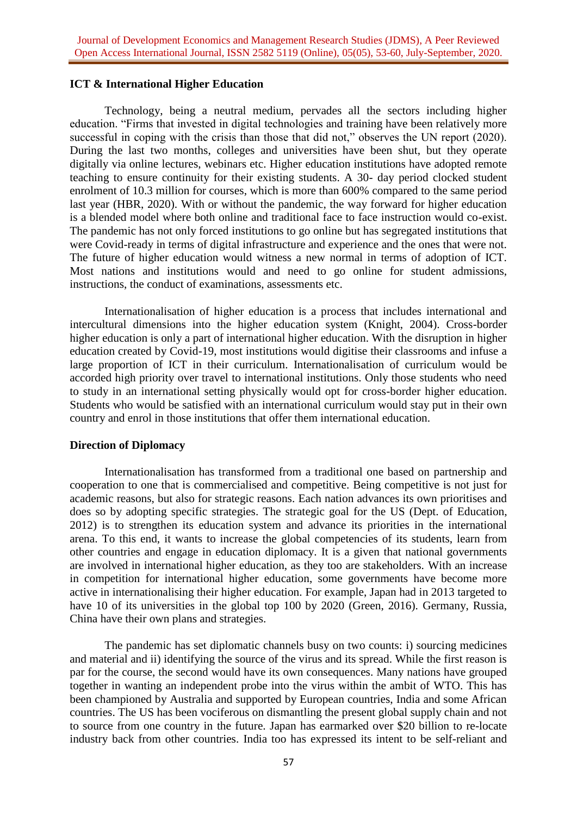### **ICT & International Higher Education**

Technology, being a neutral medium, pervades all the sectors including higher education. "Firms that invested in digital technologies and training have been relatively more successful in coping with the crisis than those that did not," observes the UN report (2020). During the last two months, colleges and universities have been shut, but they operate digitally via online lectures, webinars etc. Higher education institutions have adopted remote teaching to ensure continuity for their existing students. A 30- day period clocked student enrolment of 10.3 million for courses, which is more than 600% compared to the same period last year (HBR, 2020). With or without the pandemic, the way forward for higher education is a blended model where both online and traditional face to face instruction would co-exist. The pandemic has not only forced institutions to go online but has segregated institutions that were Covid-ready in terms of digital infrastructure and experience and the ones that were not. The future of higher education would witness a new normal in terms of adoption of ICT. Most nations and institutions would and need to go online for student admissions, instructions, the conduct of examinations, assessments etc.

Internationalisation of higher education is a process that includes international and intercultural dimensions into the higher education system (Knight, 2004). Cross-border higher education is only a part of international higher education. With the disruption in higher education created by Covid-19, most institutions would digitise their classrooms and infuse a large proportion of ICT in their curriculum. Internationalisation of curriculum would be accorded high priority over travel to international institutions. Only those students who need to study in an international setting physically would opt for cross-border higher education. Students who would be satisfied with an international curriculum would stay put in their own country and enrol in those institutions that offer them international education.

### **Direction of Diplomacy**

Internationalisation has transformed from a traditional one based on partnership and cooperation to one that is commercialised and competitive. Being competitive is not just for academic reasons, but also for strategic reasons. Each nation advances its own prioritises and does so by adopting specific strategies. The strategic goal for the US (Dept. of Education, 2012) is to strengthen its education system and advance its priorities in the international arena. To this end, it wants to increase the global competencies of its students, learn from other countries and engage in education diplomacy. It is a given that national governments are involved in international higher education, as they too are stakeholders. With an increase in competition for international higher education, some governments have become more active in internationalising their higher education. For example, Japan had in 2013 targeted to have 10 of its universities in the global top 100 by 2020 (Green, 2016). Germany, Russia, China have their own plans and strategies.

The pandemic has set diplomatic channels busy on two counts: i) sourcing medicines and material and ii) identifying the source of the virus and its spread. While the first reason is par for the course, the second would have its own consequences. Many nations have grouped together in wanting an independent probe into the virus within the ambit of WTO. This has been championed by Australia and supported by European countries, India and some African countries. The US has been vociferous on dismantling the present global supply chain and not to source from one country in the future. Japan has earmarked over \$20 billion to re-locate industry back from other countries. India too has expressed its intent to be self-reliant and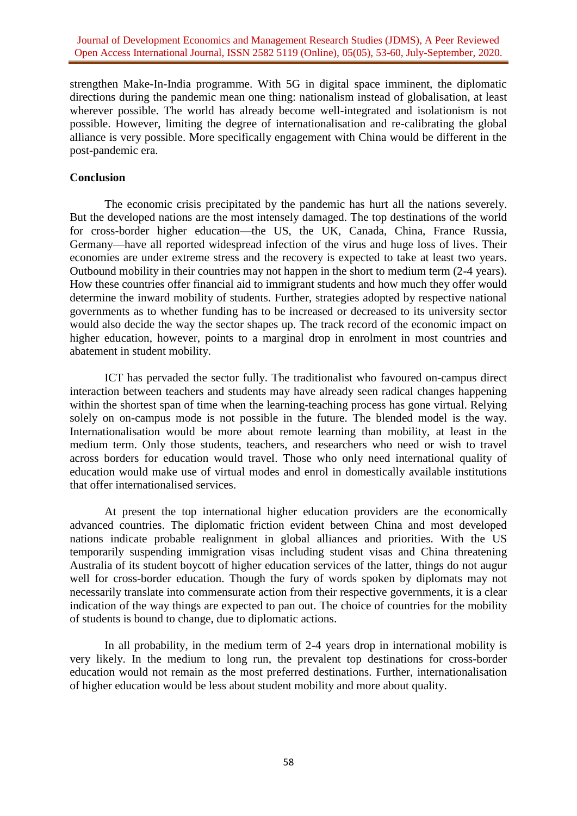strengthen Make-In-India programme. With 5G in digital space imminent, the diplomatic directions during the pandemic mean one thing: nationalism instead of globalisation, at least wherever possible. The world has already become well-integrated and isolationism is not possible. However, limiting the degree of internationalisation and re-calibrating the global alliance is very possible. More specifically engagement with China would be different in the post-pandemic era.

### **Conclusion**

The economic crisis precipitated by the pandemic has hurt all the nations severely. But the developed nations are the most intensely damaged. The top destinations of the world for cross-border higher education—the US, the UK, Canada, China, France Russia, Germany—have all reported widespread infection of the virus and huge loss of lives. Their economies are under extreme stress and the recovery is expected to take at least two years. Outbound mobility in their countries may not happen in the short to medium term (2-4 years). How these countries offer financial aid to immigrant students and how much they offer would determine the inward mobility of students. Further, strategies adopted by respective national governments as to whether funding has to be increased or decreased to its university sector would also decide the way the sector shapes up. The track record of the economic impact on higher education, however, points to a marginal drop in enrolment in most countries and abatement in student mobility.

ICT has pervaded the sector fully. The traditionalist who favoured on-campus direct interaction between teachers and students may have already seen radical changes happening within the shortest span of time when the learning-teaching process has gone virtual. Relying solely on on-campus mode is not possible in the future. The blended model is the way. Internationalisation would be more about remote learning than mobility, at least in the medium term. Only those students, teachers, and researchers who need or wish to travel across borders for education would travel. Those who only need international quality of education would make use of virtual modes and enrol in domestically available institutions that offer internationalised services.

At present the top international higher education providers are the economically advanced countries. The diplomatic friction evident between China and most developed nations indicate probable realignment in global alliances and priorities. With the US temporarily suspending immigration visas including student visas and China threatening Australia of its student boycott of higher education services of the latter, things do not augur well for cross-border education. Though the fury of words spoken by diplomats may not necessarily translate into commensurate action from their respective governments, it is a clear indication of the way things are expected to pan out. The choice of countries for the mobility of students is bound to change, due to diplomatic actions.

In all probability, in the medium term of 2-4 years drop in international mobility is very likely. In the medium to long run, the prevalent top destinations for cross-border education would not remain as the most preferred destinations. Further, internationalisation of higher education would be less about student mobility and more about quality.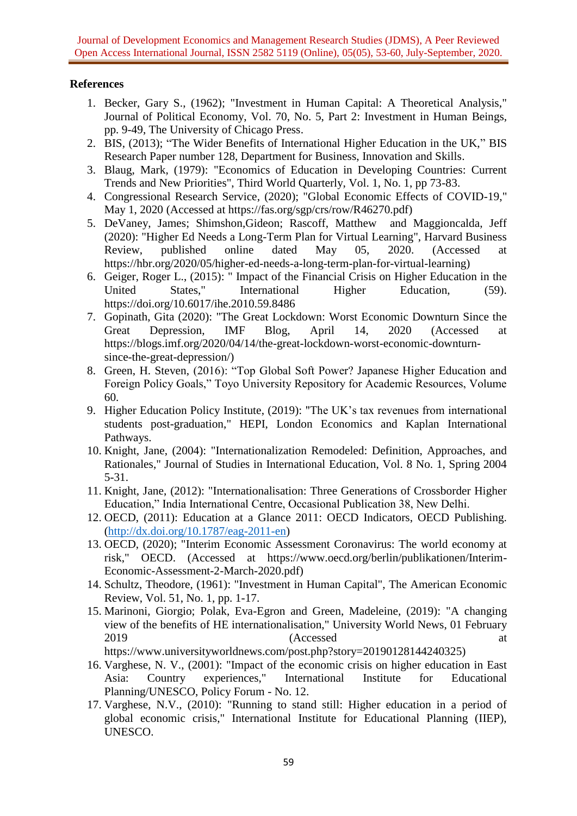Journal of Development Economics and Management Research Studies (JDMS), A Peer Reviewed Open Access International Journal, ISSN 2582 5119 (Online), 05(05), 53-60, July-September, 2020.

# **References**

- 1. Becker, Gary S., (1962); "Investment in Human Capital: A Theoretical Analysis," Journal of Political Economy, Vol. 70, No. 5, Part 2: Investment in Human Beings, pp. 9-49, The University of Chicago Press.
- 2. BIS, (2013); "The Wider Benefits of International Higher Education in the UK," BIS Research Paper number 128, Department for Business, Innovation and Skills.
- 3. Blaug, Mark, (1979): "Economics of Education in Developing Countries: Current Trends and New Priorities", Third World Quarterly, Vol. 1, No. 1, pp 73-83.
- 4. Congressional Research Service, (2020); "Global Economic Effects of COVID-19," May 1, 2020 (Accessed at https://fas.org/sgp/crs/row/R46270.pdf)
- 5. DeVaney, James; Shimshon,Gideon; Rascoff, Matthew and Maggioncalda, Jeff (2020): "Higher Ed Needs a Long-Term Plan for Virtual Learning", Harvard Business Review, published online dated May 05, 2020. (Accessed at https://hbr.org/2020/05/higher-ed-needs-a-long-term-plan-for-virtual-learning)
- 6. Geiger, Roger L., (2015): " Impact of the Financial Crisis on Higher Education in the United States," International Higher Education, (59). https://doi.org/10.6017/ihe.2010.59.8486
- 7. Gopinath, Gita (2020): "The Great Lockdown: Worst Economic Downturn Since the Great Depression, IMF Blog, April 14, 2020 (Accessed at https://blogs.imf.org/2020/04/14/the-great-lockdown-worst-economic-downturnsince-the-great-depression/)
- 8. Green, H. Steven, (2016): "Top Global Soft Power? Japanese Higher Education and Foreign Policy Goals," Toyo University Repository for Academic Resources, Volume 60.
- 9. Higher Education Policy Institute, (2019): "The UK's tax revenues from international students post-graduation," HEPI, London Economics and Kaplan International Pathways.
- 10. Knight, Jane, (2004): "Internationalization Remodeled: Definition, Approaches, and Rationales," Journal of Studies in International Education, Vol. 8 No. 1, Spring 2004 5-31.
- 11. Knight, Jane, (2012): "Internationalisation: Three Generations of Crossborder Higher Education," India International Centre, Occasional Publication 38, New Delhi.
- 12. OECD, (2011): Education at a Glance 2011: OECD Indicators, OECD Publishing. [\(http://dx.doi.org/10.1787/eag-2011-en\)](http://dx.doi.org/10.1787/eag-2011-en)
- 13. OECD, (2020); "Interim Economic Assessment Coronavirus: The world economy at risk," OECD. (Accessed at https://www.oecd.org/berlin/publikationen/Interim-Economic-Assessment-2-March-2020.pdf)
- 14. Schultz, Theodore, (1961): "Investment in Human Capital", The American Economic Review, Vol. 51, No. 1, pp. 1-17.
- 15. Marinoni, Giorgio; Polak, Eva-Egron and Green, Madeleine, (2019): "A changing view of the benefits of HE internationalisation," University World News, 01 February 2019 (Accessed at

https://www.universityworldnews.com/post.php?story=20190128144240325)

- 16. Varghese, N. V., (2001): "Impact of the economic crisis on higher education in East Asia: Country experiences," International Institute for Educational Planning/UNESCO, Policy Forum - No. 12.
- 17. Varghese, N.V., (2010): "Running to stand still: Higher education in a period of global economic crisis," International Institute for Educational Planning (IIEP), UNESCO.